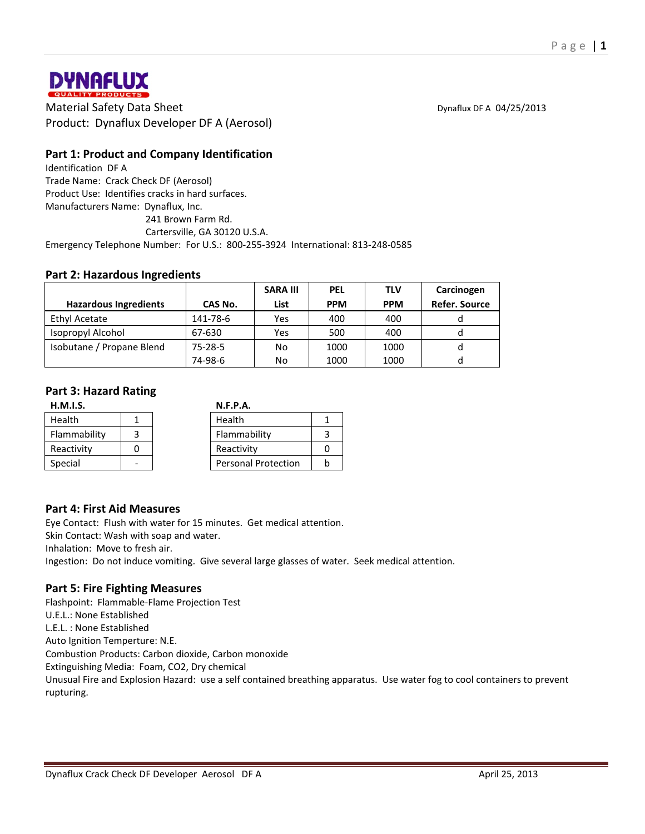

**DYNAFLUX**<br> **Material Safety Data Sheet** Dynaflux DF A 04/25/2013<br>
Material Safety Data Sheet Dynaflux DF A 04/25/2013 Product: Dynaflux Developer DF A (Aerosol)

# **Part 1: Product and Company Identification**

Identification DF A Trade Name: Crack Check DF (Aerosol) Product Use: Identifies cracks in hard surfaces. Manufacturers Name: Dynaflux, Inc. 241 Brown Farm Rd. Cartersville, GA 30120 U.S.A. Emergency Telephone Number: For U.S.: 800-255-3924 International: 813-248-0585

## **Part 2: Hazardous Ingredients**

|                              |               | <b>SARA III</b> | <b>PEL</b> | <b>TLV</b> | Carcinogen           |
|------------------------------|---------------|-----------------|------------|------------|----------------------|
| <b>Hazardous Ingredients</b> | CAS No.       | List            | <b>PPM</b> | <b>PPM</b> | <b>Refer. Source</b> |
| Ethyl Acetate                | 141-78-6      | Yes             | 400        | 400        |                      |
| Isopropyl Alcohol            | 67-630        | Yes             | 500        | 400        |                      |
| Isobutane / Propane Blend    | $75 - 28 - 5$ | No              | 1000       | 1000       | a                    |
|                              | 74-98-6       | No              | 1000       | 1000       |                      |

## **Part 3: Hazard Rating**

| H.M.I.S.     |  | N.F.P.A.                   |  |
|--------------|--|----------------------------|--|
| Health       |  | Health                     |  |
| Flammability |  | Flammability               |  |
| Reactivity   |  | Reactivity                 |  |
| Special      |  | <b>Personal Protection</b> |  |

## **Part 4: First Aid Measures**

Eye Contact: Flush with water for 15 minutes. Get medical attention. Skin Contact: Wash with soap and water. Inhalation: Move to fresh air. Ingestion: Do not induce vomiting. Give several large glasses of water. Seek medical attention.

## **Part 5: Fire Fighting Measures**

Flashpoint: Flammable-Flame Projection Test U.E.L.: None Established L.E.L. : None Established Auto Ignition Temperture: N.E. Combustion Products: Carbon dioxide, Carbon monoxide Extinguishing Media: Foam, CO2, Dry chemical Unusual Fire and Explosion Hazard: use a self contained breathing apparatus. Use water fog to cool containers to prevent rupturing.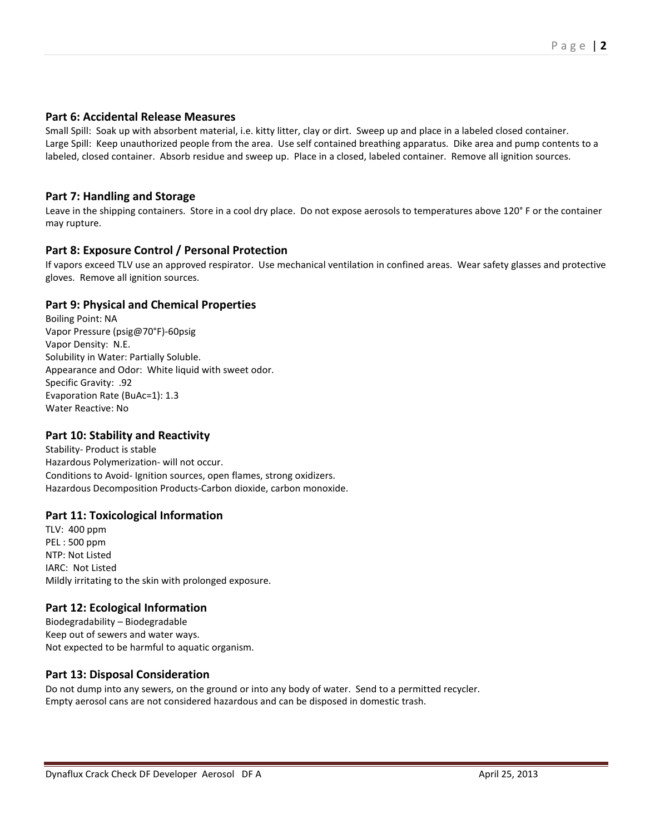### **Part 6: Accidental Release Measures**

Small Spill: Soak up with absorbent material, i.e. kitty litter, clay or dirt. Sweep up and place in a labeled closed container. Large Spill: Keep unauthorized people from the area. Use self contained breathing apparatus. Dike area and pump contents to a labeled, closed container. Absorb residue and sweep up. Place in a closed, labeled container. Remove all ignition sources.

## **Part 7: Handling and Storage**

Leave in the shipping containers. Store in a cool dry place. Do not expose aerosols to temperatures above 120° F or the container may rupture.

## **Part 8: Exposure Control / Personal Protection**

If vapors exceed TLV use an approved respirator. Use mechanical ventilation in confined areas. Wear safety glasses and protective gloves. Remove all ignition sources.

## **Part 9: Physical and Chemical Properties**

Boiling Point: NA Vapor Pressure (psig@70°F)-60psig Vapor Density: N.E. Solubility in Water: Partially Soluble. Appearance and Odor: White liquid with sweet odor. Specific Gravity: .92 Evaporation Rate (BuAc=1): 1.3 Water Reactive: No

#### **Part 10: Stability and Reactivity**

Stability- Product is stable Hazardous Polymerization- will not occur. Conditions to Avoid- Ignition sources, open flames, strong oxidizers. Hazardous Decomposition Products-Carbon dioxide, carbon monoxide.

#### **Part 11: Toxicological Information**

TLV: 400 ppm PEL : 500 ppm NTP: Not Listed IARC: Not Listed Mildly irritating to the skin with prolonged exposure.

#### **Part 12: Ecological Information**

Biodegradability – Biodegradable Keep out of sewers and water ways. Not expected to be harmful to aquatic organism.

#### **Part 13: Disposal Consideration**

Do not dump into any sewers, on the ground or into any body of water. Send to a permitted recycler. Empty aerosol cans are not considered hazardous and can be disposed in domestic trash.